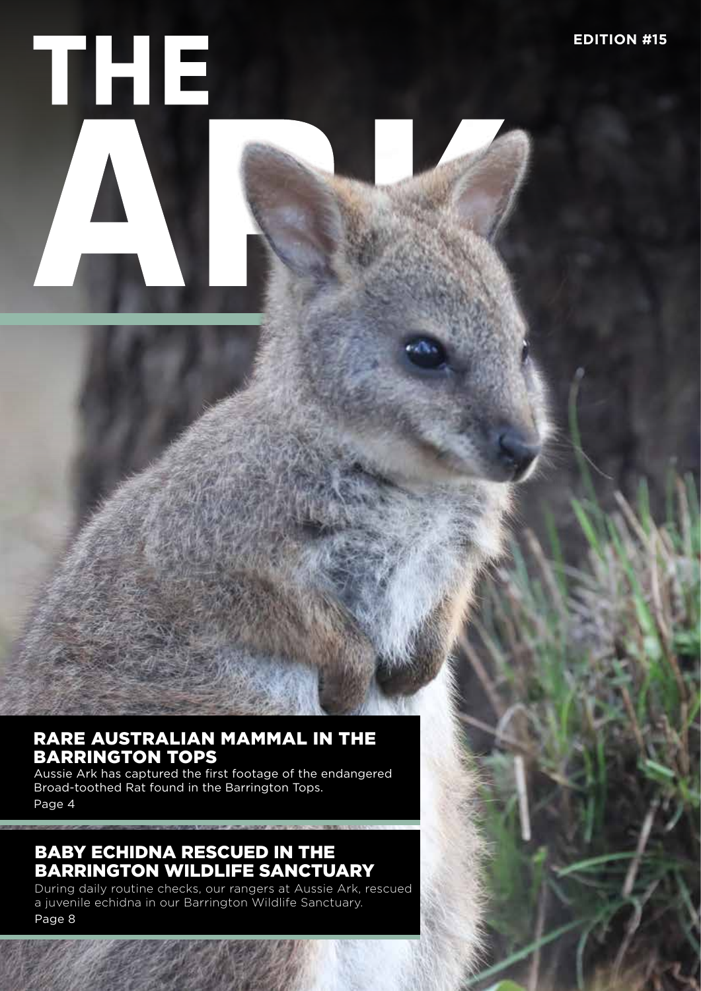

## RARE AUSTRALIAN MAMMAL IN THE BARRINGTON TOPS

Aussie Ark has captured the first footage of the endangered Broad-toothed Rat found in the Barrington Tops. Page 4

## BABY ECHIDNA RESCUED IN THE BARRINGTON WILDLIFE SANCTUARY

During daily routine checks, our rangers at Aussie Ark, rescued a juvenile echidna in our Barrington Wildlife Sanctuary. Page 8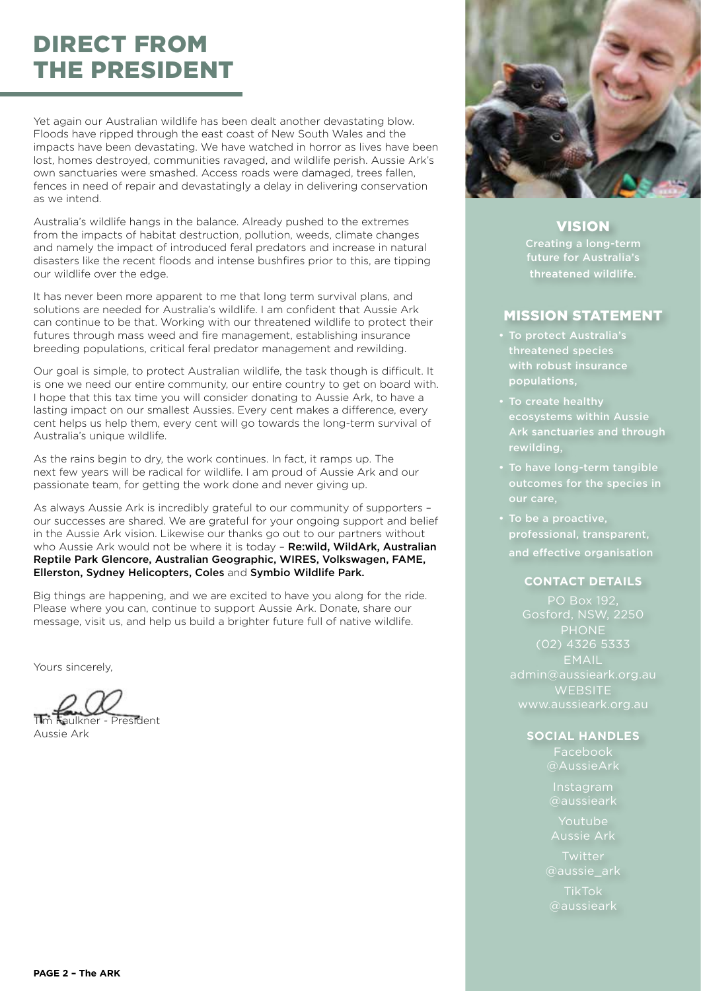# DIRECT FROM THE PRESIDENT

Yet again our Australian wildlife has been dealt another devastating blow. Floods have ripped through the east coast of New South Wales and the impacts have been devastating. We have watched in horror as lives have been lost, homes destroyed, communities ravaged, and wildlife perish. Aussie Ark's own sanctuaries were smashed. Access roads were damaged, trees fallen, fences in need of repair and devastatingly a delay in delivering conservation as we intend.

Australia's wildlife hangs in the balance. Already pushed to the extremes from the impacts of habitat destruction, pollution, weeds, climate changes and namely the impact of introduced feral predators and increase in natural disasters like the recent floods and intense bushfires prior to this, are tipping our wildlife over the edge.

It has never been more apparent to me that long term survival plans, and solutions are needed for Australia's wildlife. I am confident that Aussie Ark can continue to be that. Working with our threatened wildlife to protect their futures through mass weed and fire management, establishing insurance breeding populations, critical feral predator management and rewilding.

Our goal is simple, to protect Australian wildlife, the task though is difficult. It is one we need our entire community, our entire country to get on board with. I hope that this tax time you will consider donating to Aussie Ark, to have a lasting impact on our smallest Aussies. Every cent makes a difference, every cent helps us help them, every cent will go towards the long-term survival of Australia's unique wildlife.

As the rains begin to dry, the work continues. In fact, it ramps up. The next few years will be radical for wildlife. I am proud of Aussie Ark and our passionate team, for getting the work done and never giving up.

As always Aussie Ark is incredibly grateful to our community of supporters – our successes are shared. We are grateful for your ongoing support and belief in the Aussie Ark vision. Likewise our thanks go out to our partners without who Aussie Ark would not be where it is today - Re:wild, WildArk, Australian Reptile Park Glencore, Australian Geographic, WIRES, Volkswagen, FAME, Ellerston, Sydney Helicopters, Coles and Symbio Wildlife Park.

Big things are happening, and we are excited to have you along for the ride. Please where you can, continue to support Aussie Ark. Donate, share our message, visit us, and help us build a brighter future full of native wildlife.

Yours sincerely,

Tim Faulkner - President

Aussie Ark



VISION Creating a long-term future for Australia's threatened wildlife.

## MISSION STATEMENT

- To protect Australia's threatened species with robust insurance populations,
- To create healthy ecosystems within Aussie Ark sanctuaries and through rewilding,
- To have long-term tangible outcomes for the species in our care,
- To be a proactive, professional, transparent, and effective organisation

#### **CONTACT DETAILS**

PO Box 192, PHONE (02) 4326 5333 **EMAIL WEBSITE** www.aussieark.org.au

### **SOCIAL HANDLES**

Facebook

Instagram

Youtube Aussie Ark

**Twitter** @aussie\_ark

TikTok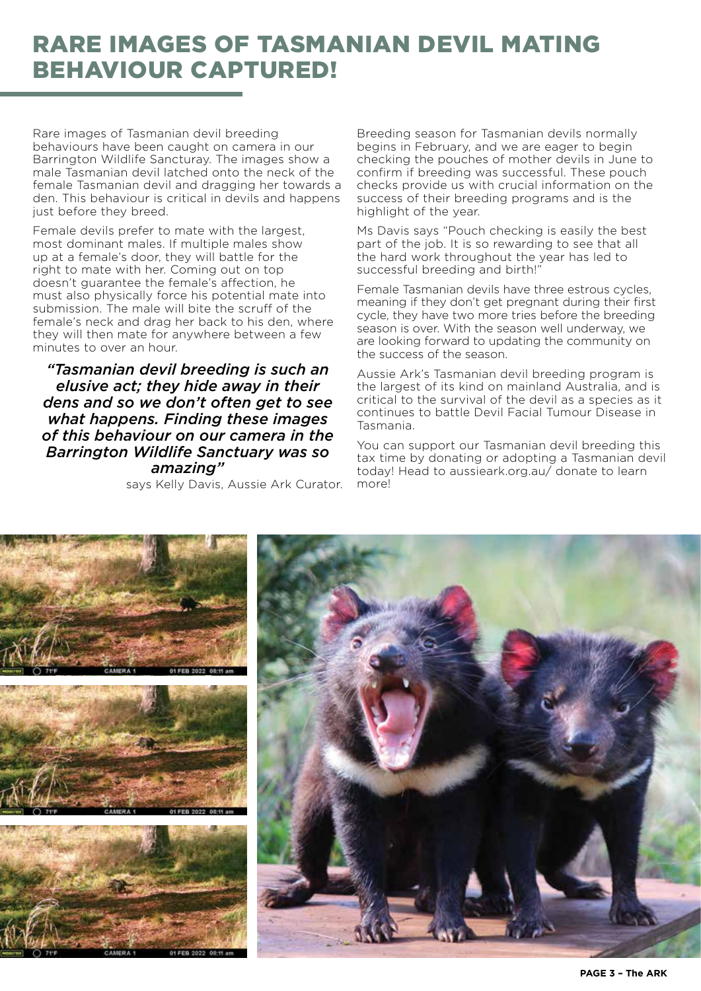# RARE IMAGES OF TASMANIAN DEVIL MATING BEHAVIOUR CAPTURED!

Rare images of Tasmanian devil breeding behaviours have been caught on camera in our Barrington Wildlife Sancturay. The images show a male Tasmanian devil latched onto the neck of the female Tasmanian devil and dragging her towards a den. This behaviour is critical in devils and happens just before they breed.

Female devils prefer to mate with the largest, most dominant males. If multiple males show up at a female's door, they will battle for the right to mate with her. Coming out on top doesn't guarantee the female's affection, he must also physically force his potential mate into submission. The male will bite the scruff of the female's neck and drag her back to his den, where they will then mate for anywhere between a few minutes to over an hour.

*"Tasmanian devil breeding is such an elusive act; they hide away in their dens and so we don't often get to see what happens. Finding these images of this behaviour on our camera in the Barrington Wildlife Sanctuary was so amazing"* 

says Kelly Davis, Aussie Ark Curator.

Breeding season for Tasmanian devils normally begins in February, and we are eager to begin checking the pouches of mother devils in June to confirm if breeding was successful. These pouch checks provide us with crucial information on the success of their breeding programs and is the highlight of the year.

Ms Davis says "Pouch checking is easily the best part of the job. It is so rewarding to see that all the hard work throughout the year has led to successful breeding and birth!"

Female Tasmanian devils have three estrous cycles, meaning if they don't get pregnant during their first cycle, they have two more tries before the breeding season is over. With the season well underway, we are looking forward to updating the community on the success of the season.

Aussie Ark's Tasmanian devil breeding program is the largest of its kind on mainland Australia, and is critical to the survival of the devil as a species as it continues to battle Devil Facial Tumour Disease in Tasmania.

You can support our Tasmanian devil breeding this tax time by donating or adopting a Tasmanian devil today! Head to aussieark.org.au/ donate to learn more!

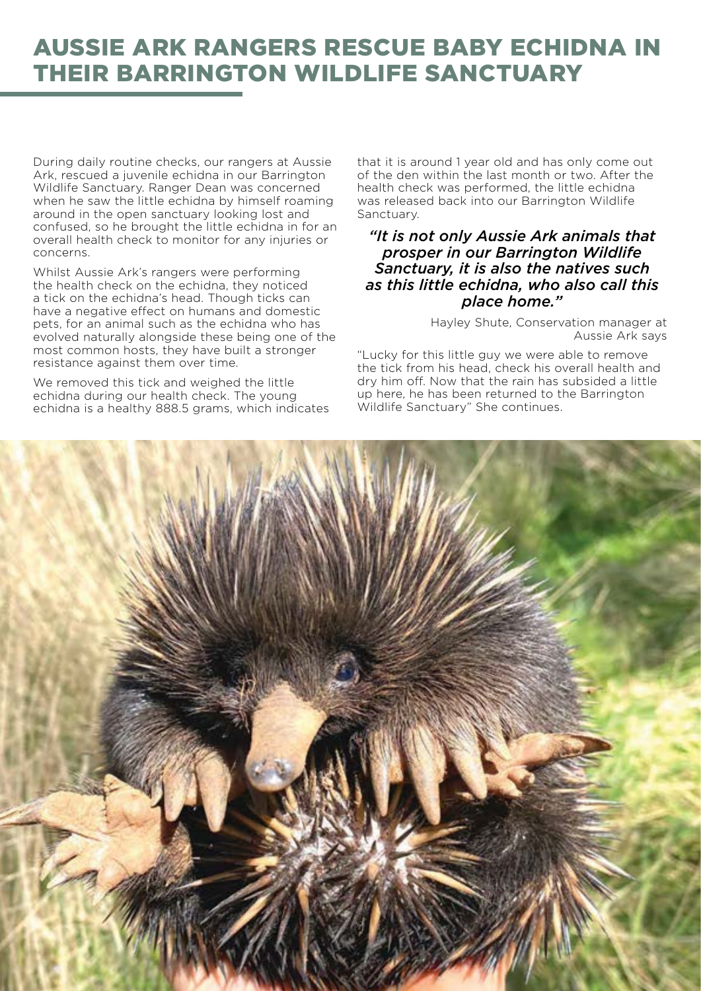# AUSSIE ARK RANGERS RESCUE BABY ECHIDNA IN THEIR BARRINGTON WILDLIFE SANCTUARY

During daily routine checks, our rangers at Aussie Ark, rescued a juvenile echidna in our Barrington Wildlife Sanctuary. Ranger Dean was concerned when he saw the little echidna by himself roaming around in the open sanctuary looking lost and confused, so he brought the little echidna in for an overall health check to monitor for any injuries or concerns.

Whilst Aussie Ark's rangers were performing the health check on the echidna, they noticed a tick on the echidna's head. Though ticks can have a negative effect on humans and domestic pets, for an animal such as the echidna who has evolved naturally alongside these being one of the most common hosts, they have built a stronger resistance against them over time.

We removed this tick and weighed the little echidna during our health check. The young echidna is a healthy 888.5 grams, which indicates that it is around 1 year old and has only come out of the den within the last month or two. After the health check was performed, the little echidna was released back into our Barrington Wildlife Sanctuary.

## *"It is not only Aussie Ark animals that prosper in our Barrington Wildlife Sanctuary, it is also the natives such as this little echidna, who also call this place home."*

Hayley Shute, Conservation manager at Aussie Ark says

"Lucky for this little guy we were able to remove the tick from his head, check his overall health and dry him off. Now that the rain has subsided a little up here, he has been returned to the Barrington Wildlife Sanctuary" She continues.

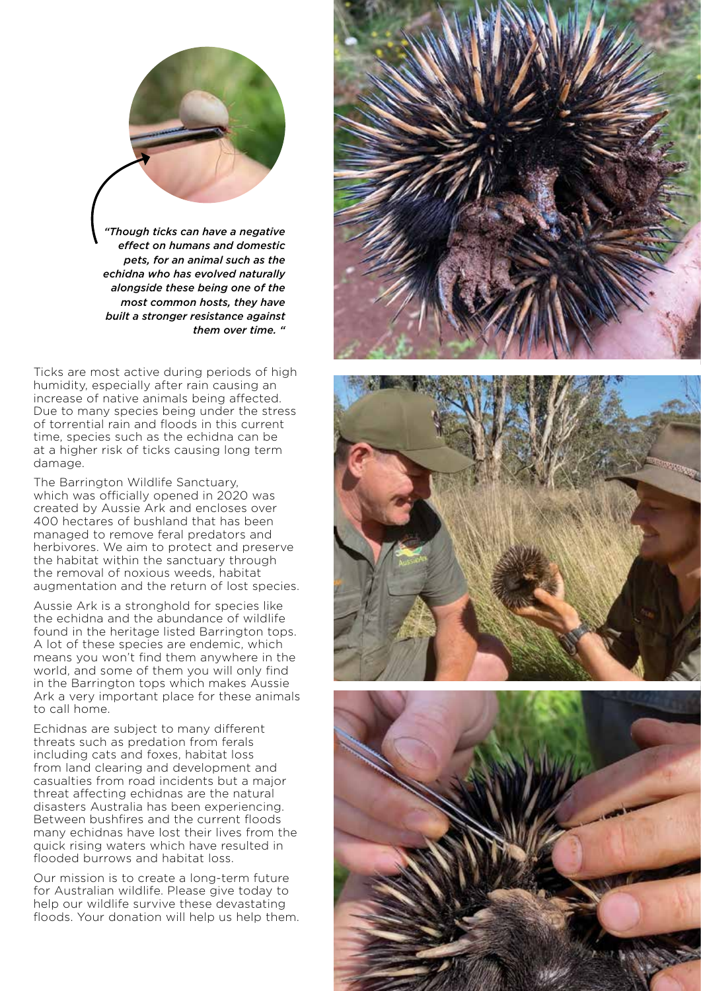

Ticks are most active during periods of high humidity, especially after rain causing an increase of native animals being affected. Due to many species being under the stress of torrential rain and floods in this current time, species such as the echidna can be at a higher risk of ticks causing long term damage.

The Barrington Wildlife Sanctuary, which was officially opened in 2020 was created by Aussie Ark and encloses over 400 hectares of bushland that has been managed to remove feral predators and herbivores. We aim to protect and preserve the habitat within the sanctuary through the removal of noxious weeds, habitat augmentation and the return of lost species.

Aussie Ark is a stronghold for species like the echidna and the abundance of wildlife found in the heritage listed Barrington tops. A lot of these species are endemic, which means you won't find them anywhere in the world, and some of them you will only find in the Barrington tops which makes Aussie Ark a very important place for these animals to call home.

Echidnas are subject to many different threats such as predation from ferals including cats and foxes, habitat loss from land clearing and development and casualties from road incidents but a major threat affecting echidnas are the natural disasters Australia has been experiencing. Between bushfires and the current floods many echidnas have lost their lives from the quick rising waters which have resulted in flooded burrows and habitat loss.

Our mission is to create a long-term future for Australian wildlife. Please give today to help our wildlife survive these devastating floods. Your donation will help us help them.





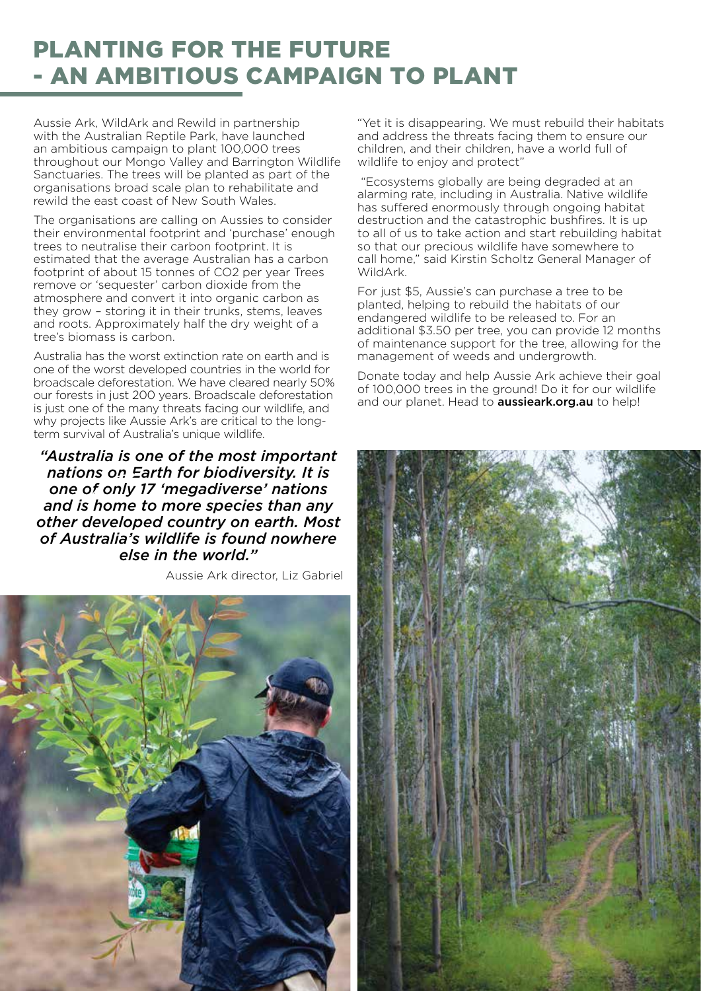# PLANTING FOR THE FUTURE - AN AMBITIOUS CAMPAIGN TO PLANT

Aussie Ark, WildArk and Rewild in partnership with the Australian Reptile Park, have launched an ambitious campaign to plant 100,000 trees throughout our Mongo Valley and Barrington Wildlife Sanctuaries. The trees will be planted as part of the organisations broad scale plan to rehabilitate and rewild the east coast of New South Wales.

The organisations are calling on Aussies to consider their environmental footprint and 'purchase' enough trees to neutralise their carbon footprint. It is estimated that the average Australian has a carbon footprint of about 15 tonnes of CO2 per year Trees remove or 'sequester' carbon dioxide from the atmosphere and convert it into organic carbon as they grow – storing it in their trunks, stems, leaves and roots. Approximately half the dry weight of a tree's biomass is carbon.

Australia has the worst extinction rate on earth and is one of the worst developed countries in the world for broadscale deforestation. We have cleared nearly 50% our forests in just 200 years. Broadscale deforestation is just one of the many threats facing our wildlife, and why projects like Aussie Ark's are critical to the longterm survival of Australia's unique wildlife.

*"Australia is one of the most important nations on Earth for biodiversity. It is one of only 17 'megadiverse' nations and is home to more species than any other developed country on earth. Most of Australia's wildlife is found nowhere else in the world."* 

Aussie Ark director, Liz Gabriel

"Yet it is disappearing. We must rebuild their habitats and address the threats facing them to ensure our children, and their children, have a world full of wildlife to enjoy and protect"

 "Ecosystems globally are being degraded at an alarming rate, including in Australia. Native wildlife has suffered enormously through ongoing habitat destruction and the catastrophic bushfires. It is up to all of us to take action and start rebuilding habitat so that our precious wildlife have somewhere to call home," said Kirstin Scholtz General Manager of WildArk.

For just \$5, Aussie's can purchase a tree to be planted, helping to rebuild the habitats of our endangered wildlife to be released to. For an additional \$3.50 per tree, you can provide 12 months of maintenance support for the tree, allowing for the management of weeds and undergrowth.

Donate today and help Aussie Ark achieve their goal of 100,000 trees in the ground! Do it for our wildlife and our planet. Head to **aussieark.org.au** to help!

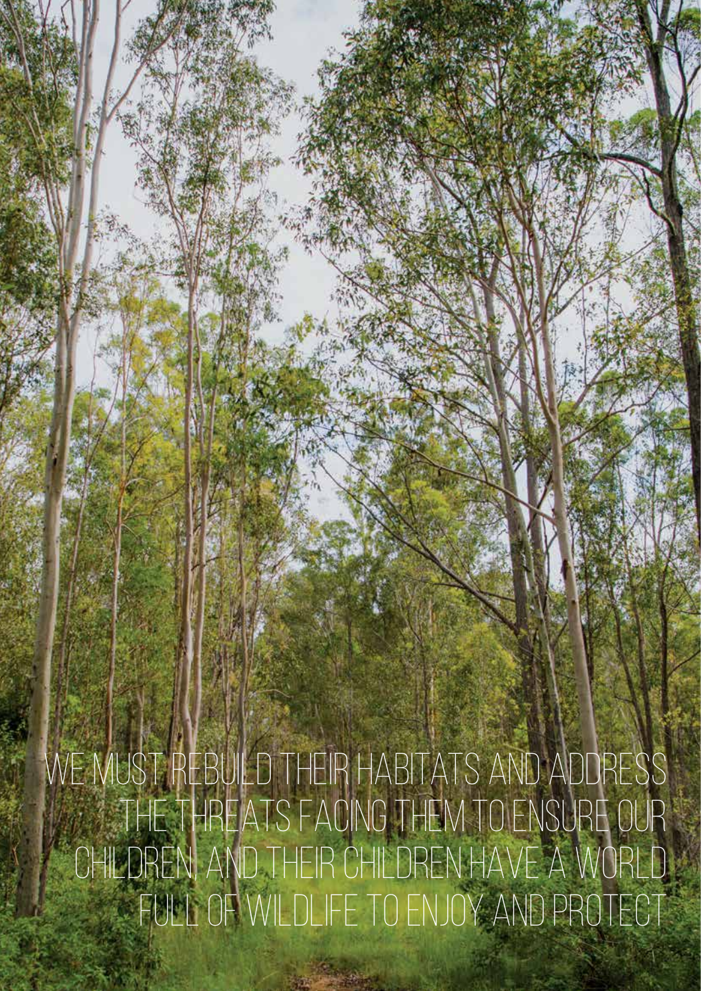We must rebuild their habitats and address the threats facing them to ensure our children, and their children have a world full of wildlife to enjoy and protect

**PAGE 7 – The ARK**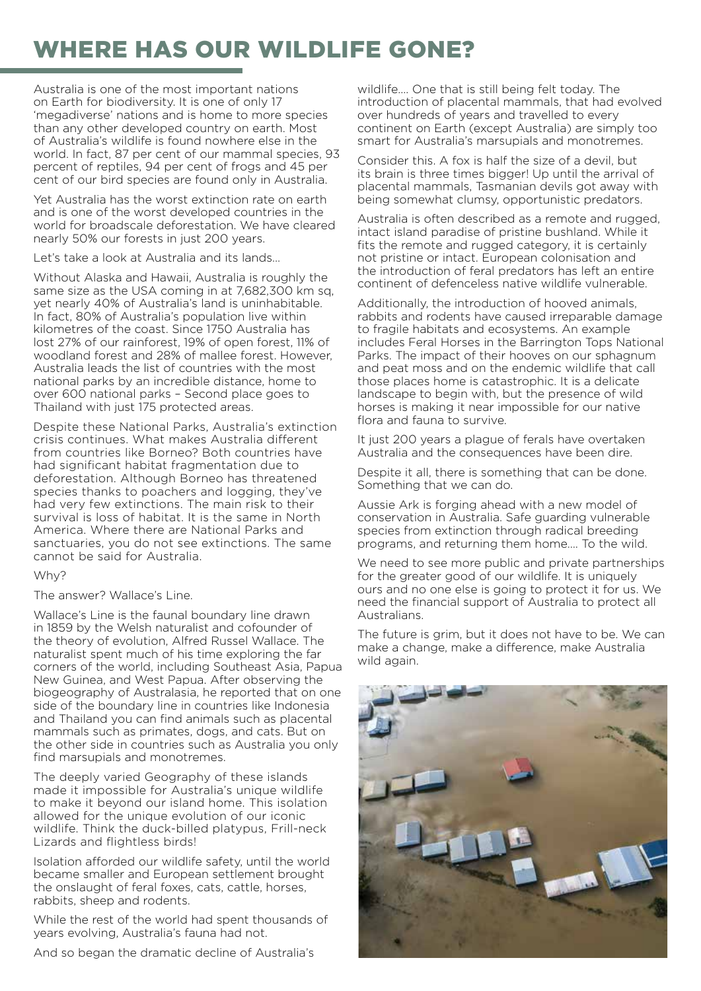# WHERE HAS OUR WILDLIFE GONE?

Australia is one of the most important nations on Earth for biodiversity. It is one of only 17 'megadiverse' nations and is home to more species than any other developed country on earth. Most of Australia's wildlife is found nowhere else in the world. In fact, 87 per cent of our mammal species, 93 percent of reptiles, 94 per cent of frogs and 45 per cent of our bird species are found only in Australia.

Yet Australia has the worst extinction rate on earth and is one of the worst developed countries in the world for broadscale deforestation. We have cleared nearly 50% our forests in just 200 years.

Let's take a look at Australia and its lands…

Without Alaska and Hawaii, Australia is roughly the same size as the USA coming in at 7,682,300 km sq, yet nearly 40% of Australia's land is uninhabitable. In fact, 80% of Australia's population live within kilometres of the coast. Since 1750 Australia has lost 27% of our rainforest, 19% of open forest, 11% of woodland forest and 28% of mallee forest. However, Australia leads the list of countries with the most national parks by an incredible distance, home to over 600 national parks – Second place goes to Thailand with just 175 protected areas.

Despite these National Parks, Australia's extinction crisis continues. What makes Australia different from countries like Borneo? Both countries have had significant habitat fragmentation due to deforestation. Although Borneo has threatened species thanks to poachers and logging, they've had very few extinctions. The main risk to their survival is loss of habitat. It is the same in North America. Where there are National Parks and sanctuaries, you do not see extinctions. The same cannot be said for Australia.

## Why?

The answer? Wallace's Line.

Wallace's Line is the faunal boundary line drawn in 1859 by the Welsh naturalist and cofounder of the theory of evolution, Alfred Russel Wallace. The naturalist spent much of his time exploring the far corners of the world, including Southeast Asia, Papua New Guinea, and West Papua. After observing the biogeography of Australasia, he reported that on one side of the boundary line in countries like Indonesia and Thailand you can find animals such as placental mammals such as primates, dogs, and cats. But on the other side in countries such as Australia you only find marsupials and monotremes.

The deeply varied Geography of these islands made it impossible for Australia's unique wildlife to make it beyond our island home. This isolation allowed for the unique evolution of our iconic wildlife. Think the duck-billed platypus, Frill-neck Lizards and flightless birds!

Isolation afforded our wildlife safety, until the world became smaller and European settlement brought the onslaught of feral foxes, cats, cattle, horses, rabbits, sheep and rodents.

While the rest of the world had spent thousands of years evolving, Australia's fauna had not.

And so began the dramatic decline of Australia's

wildlife…. One that is still being felt today. The introduction of placental mammals, that had evolved over hundreds of years and travelled to every continent on Earth (except Australia) are simply too smart for Australia's marsupials and monotremes.

Consider this. A fox is half the size of a devil, but its brain is three times bigger! Up until the arrival of placental mammals, Tasmanian devils got away with being somewhat clumsy, opportunistic predators.

Australia is often described as a remote and rugged, intact island paradise of pristine bushland. While it fits the remote and rugged category, it is certainly not pristine or intact. European colonisation and the introduction of feral predators has left an entire continent of defenceless native wildlife vulnerable.

Additionally, the introduction of hooved animals, rabbits and rodents have caused irreparable damage to fragile habitats and ecosystems. An example includes Feral Horses in the Barrington Tops National Parks. The impact of their hooves on our sphagnum and peat moss and on the endemic wildlife that call those places home is catastrophic. It is a delicate landscape to begin with, but the presence of wild horses is making it near impossible for our native flora and fauna to survive.

It just 200 years a plague of ferals have overtaken Australia and the consequences have been dire.

Despite it all, there is something that can be done. Something that we can do.

Aussie Ark is forging ahead with a new model of conservation in Australia. Safe guarding vulnerable species from extinction through radical breeding programs, and returning them home…. To the wild.

We need to see more public and private partnerships for the greater good of our wildlife. It is uniquely ours and no one else is going to protect it for us. We need the financial support of Australia to protect all Australians.

The future is grim, but it does not have to be. We can make a change, make a difference, make Australia wild again.

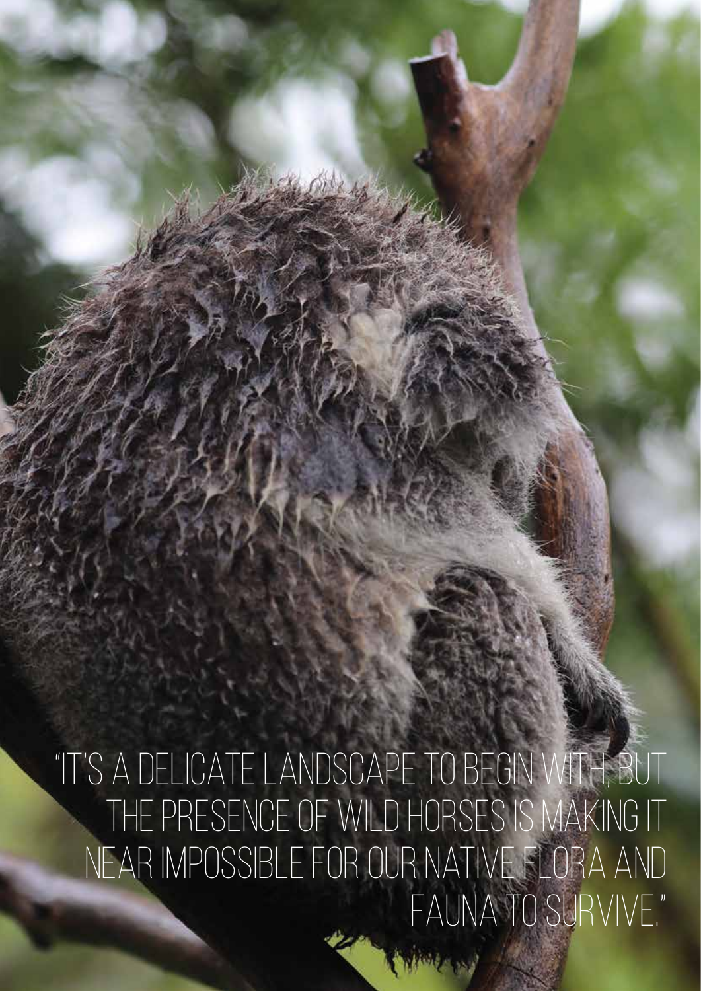"It's a delicate landscape to begin with, but the presence of wild horses is making it near impossible for our native flora and fauna to survive."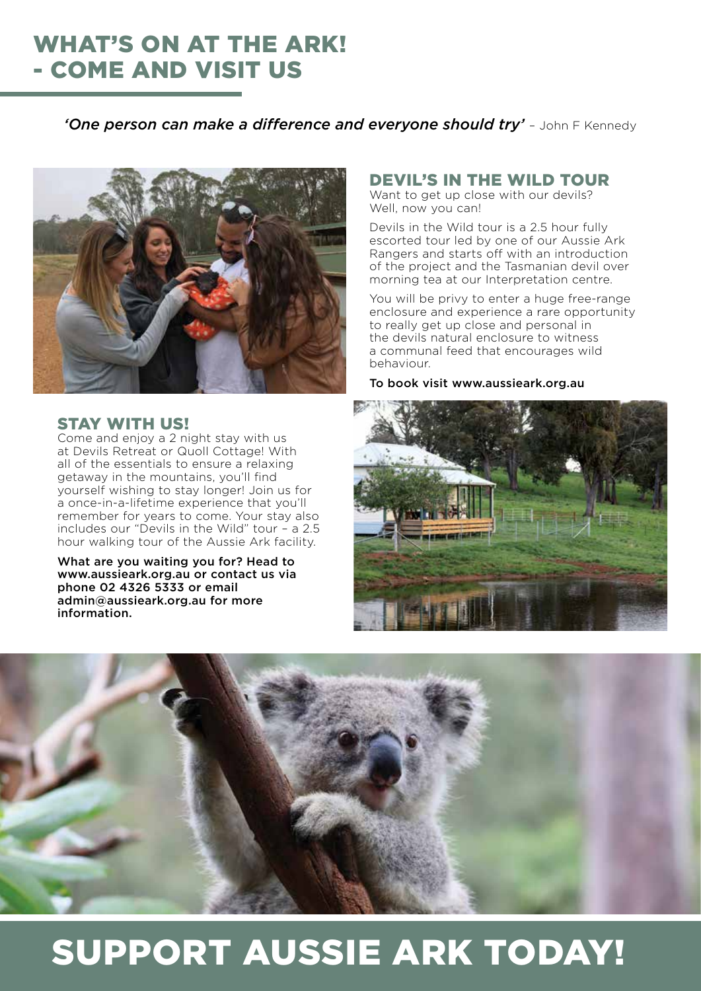# WHAT'S ON AT THE ARK! - COME AND VISIT US

**'One person can make a difference and evervone should try'** - John F Kennedy



## STAY WITH US!

Come and enjoy a 2 night stay with us at Devils Retreat or Quoll Cottage! With all of the essentials to ensure a relaxing getaway in the mountains, you'll find yourself wishing to stay longer! Join us for a once-in-a-lifetime experience that you'll remember for years to come. Your stay also includes our "Devils in the Wild" tour – a 2.5 hour walking tour of the Aussie Ark facility.

What are you waiting you for? Head to www.aussieark.org.au or contact us via phone 02 4326 5333 or email admin@aussieark.org.au for more information.

## DEVIL'S IN THE WILD TOUR

Want to get up close with our devils? Well, now you can!

Devils in the Wild tour is a 2.5 hour fully escorted tour led by one of our Aussie Ark Rangers and starts off with an introduction of the project and the Tasmanian devil over morning tea at our Interpretation centre.

You will be privy to enter a huge free-range enclosure and experience a rare opportunity to really get up close and personal in the devils natural enclosure to witness a communal feed that encourages wild behaviour.

To book visit www.aussieark.org.au





# SUPPORT AUSSIE ARK TODAY!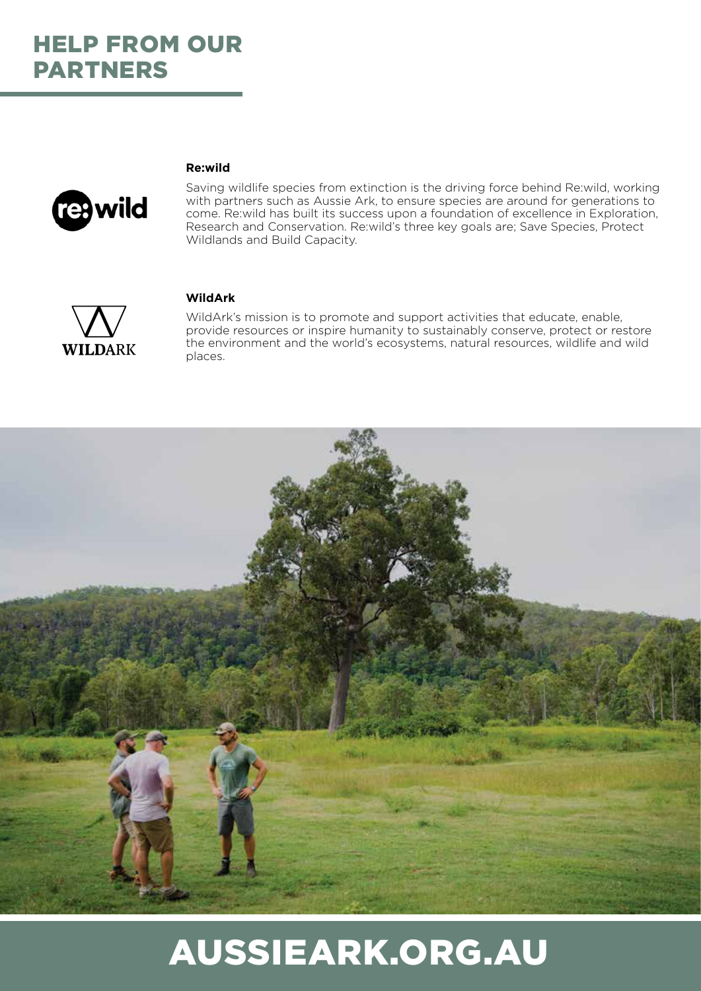

## **Re:wild**

Saving wildlife species from extinction is the driving force behind Re:wild, working with partners such as Aussie Ark, to ensure species are around for generations to come. Re:wild has built its success upon a foundation of excellence in Exploration, Research and Conservation. Re:wild's three key goals are; Save Species, Protect Wildlands and Build Capacity.



#### **WildArk**

WildArk's mission is to promote and support activities that educate, enable, provide resources or inspire humanity to sustainably conserve, protect or restore the environment and the world's ecosystems, natural resources, wildlife and wild places.



# AUSSIEARK.ORG.AU